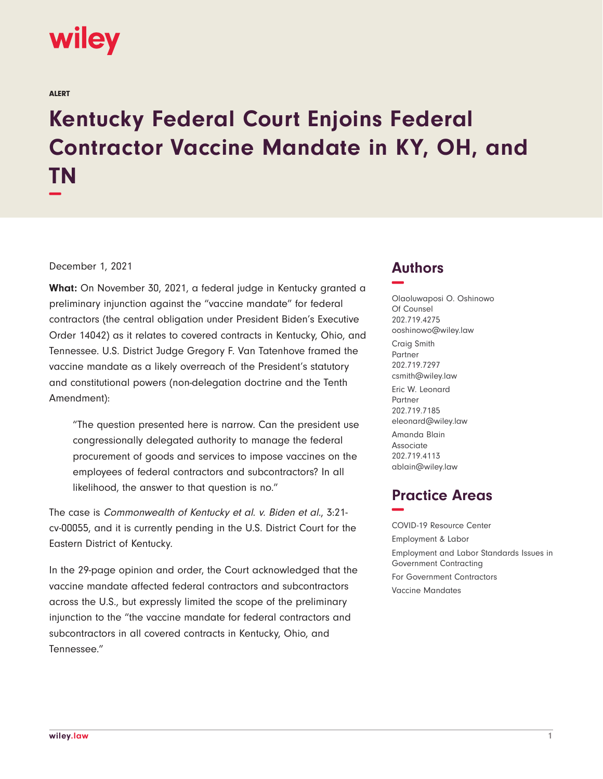

ALERT

## **Kentucky Federal Court Enjoins Federal Contractor Vaccine Mandate in KY, OH, and TN −**

## December 1, 2021

**What:** On November 30, 2021, a federal judge in Kentucky granted a preliminary injunction against the "vaccine mandate" for federal contractors (the central obligation under President Biden's Executive Order 14042) as it relates to covered contracts in Kentucky, Ohio, and Tennessee. U.S. District Judge Gregory F. Van Tatenhove framed the vaccine mandate as a likely overreach of the President's statutory and constitutional powers (non-delegation doctrine and the Tenth Amendment):

"The question presented here is narrow. Can the president use congressionally delegated authority to manage the federal procurement of goods and services to impose vaccines on the employees of federal contractors and subcontractors? In all likelihood, the answer to that question is no."

The case is Commonwealth of Kentucky et al. v. Biden et al., 3:21 cv-00055, and it is currently pending in the U.S. District Court for the Eastern District of Kentucky.

In the 29-page opinion and order, the Court acknowledged that the vaccine mandate affected federal contractors and subcontractors across the U.S., but expressly limited the scope of the preliminary injunction to the "the vaccine mandate for federal contractors and subcontractors in all covered contracts in Kentucky, Ohio, and Tennessee."

## **Authors −**

Olaoluwaposi O. Oshinowo Of Counsel 202.719.4275 ooshinowo@wiley.law Craig Smith Partner 202.719.7297 csmith@wiley.law Eric W. Leonard Partner 202.719.7185 eleonard@wiley.law Amanda Blain Associate 202.719.4113 ablain@wiley.law

## **Practice Areas −**

COVID-19 Resource Center Employment & Labor Employment and Labor Standards Issues in Government Contracting For Government Contractors Vaccine Mandates